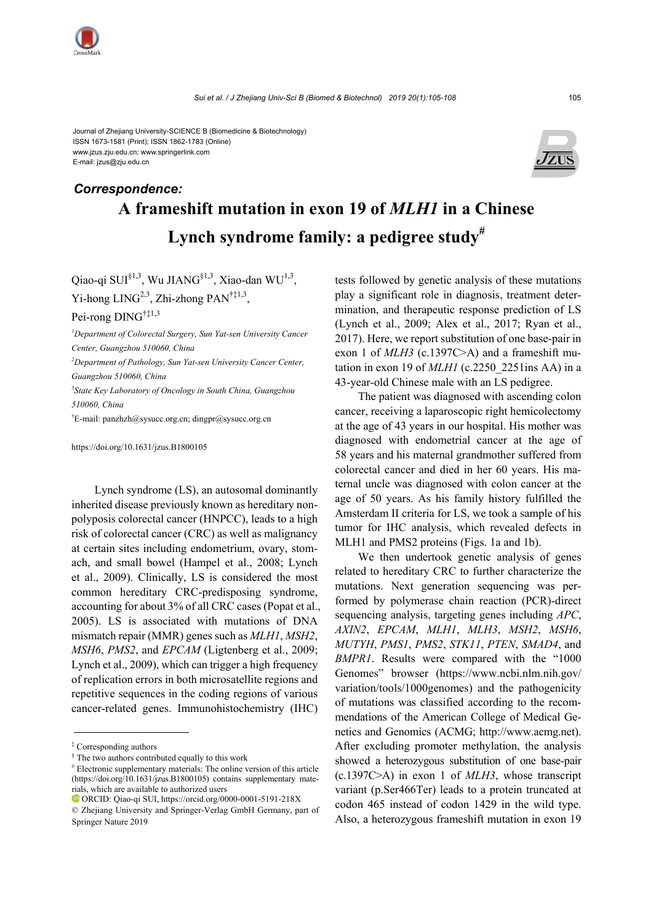

Journal of Zhejiang University-SCIENCE B (Biomedicine & Biotechnology) ISSN 1673-1581 (Print); ISSN 1862-1783 (Online) www.jzus.zju.edu.cn; www.springerlink.com E-mail: jzus@zju.edu.cn



# **A frameshift mutation in exon 19 of** *MLH1* **in a Chinese Lynch syndrome family: a pedigree study#** *Correspondence:*

Qiao-qi SUI<sup>§1,3</sup>, Wu JIANG<sup>§1,3</sup>, Xiao-dan WU<sup>1,3</sup>, Yi-hong  $LING^{2,3}$ , Zhi-zhong PAN<sup>†‡1,3</sup>,

Pei-rong DING†‡1,3

*1 Department of Colorectal Surgery, Sun Yat-sen University Cancer Center, Guangzhou 510060, China 2 Department of Pathology, Sun Yat-sen University Cancer Center, Guangzhou 510060, China* 

*3 State Key Laboratory of Oncology in South China, Guangzhou 510060, China* 

† E-mail: panzhzh@sysucc.org.cn; dingpr@sysucc.org.cn

https://doi.org/10.1631/jzus.B1800105

Lynch syndrome (LS), an autosomal dominantly inherited disease previously known as hereditary nonpolyposis colorectal cancer (HNPCC), leads to a high risk of colorectal cancer (CRC) as well as malignancy at certain sites including endometrium, ovary, stomach, and small bowel (Hampel et al., 2008; Lynch et al., 2009). Clinically, LS is considered the most common hereditary CRC-predisposing syndrome, accounting for about 3% of all CRC cases (Popat et al., 2005). LS is associated with mutations of DNA mismatch repair (MMR) genes such as *MLH1*, *MSH2*, *MSH6*, *PMS2*, and *EPCAM* (Ligtenberg et al., 2009; Lynch et al., 2009), which can trigger a high frequency of replication errors in both microsatellite regions and repetitive sequences in the coding regions of various cancer-related genes. Immunohistochemistry (IHC)

tests followed by genetic analysis of these mutations play a significant role in diagnosis, treatment determination, and therapeutic response prediction of LS (Lynch et al., 2009; Alex et al., 2017; Ryan et al., 2017). Here, we report substitution of one base-pair in exon 1 of *MLH3* (c.1397C>A) and a frameshift mutation in exon 19 of *MLH1* (c.2250\_2251ins AA) in a 43-year-old Chinese male with an LS pedigree.

The patient was diagnosed with ascending colon cancer, receiving a laparoscopic right hemicolectomy at the age of 43 years in our hospital. His mother was diagnosed with endometrial cancer at the age of 58 years and his maternal grandmother suffered from colorectal cancer and died in her 60 years. His maternal uncle was diagnosed with colon cancer at the age of 50 years. As his family history fulfilled the Amsterdam II criteria for LS, we took a sample of his tumor for IHC analysis, which revealed defects in MLH1 and PMS2 proteins (Figs. 1a and 1b).

We then undertook genetic analysis of genes related to hereditary CRC to further characterize the mutations. Next generation sequencing was performed by polymerase chain reaction (PCR)-direct sequencing analysis, targeting genes including *APC*, *AXIN2*, *EPCAM*, *MLH1*, *MLH3*, *MSH2*, *MSH6*, *MUTYH*, *PMS1*, *PMS2*, *STK11*, *PTEN*, *SMAD4*, and *BMPR1*. Results were compared with the "1000 Genomes" browser (https://www.ncbi.nlm.nih.gov/ variation/tools/1000genomes) and the pathogenicity of mutations was classified according to the recommendations of the American College of Medical Genetics and Genomics (ACMG; http://www.acmg.net). After excluding promoter methylation, the analysis showed a heterozygous substitution of one base-pair (c.1397C>A) in exon 1 of *MLH3*, whose transcript variant (p.Ser466Ter) leads to a protein truncated at codon 465 instead of codon 1429 in the wild type. Also, a heterozygous frameshift mutation in exon 19

<sup>‡</sup> Corresponding authors

<sup>§</sup> The two authors contributed equally to this work

<sup>#</sup> Electronic supplementary materials: The online version of this article (https://doi.org/10.1631/jzus.B1800105) contains supplementary materials, which are available to authorized users

ORCID: Qiao-qi SUI, https://orcid.org/0000-0001-5191-218X

<sup>©</sup> Zhejiang University and Springer-Verlag GmbH Germany, part of Springer Nature 2019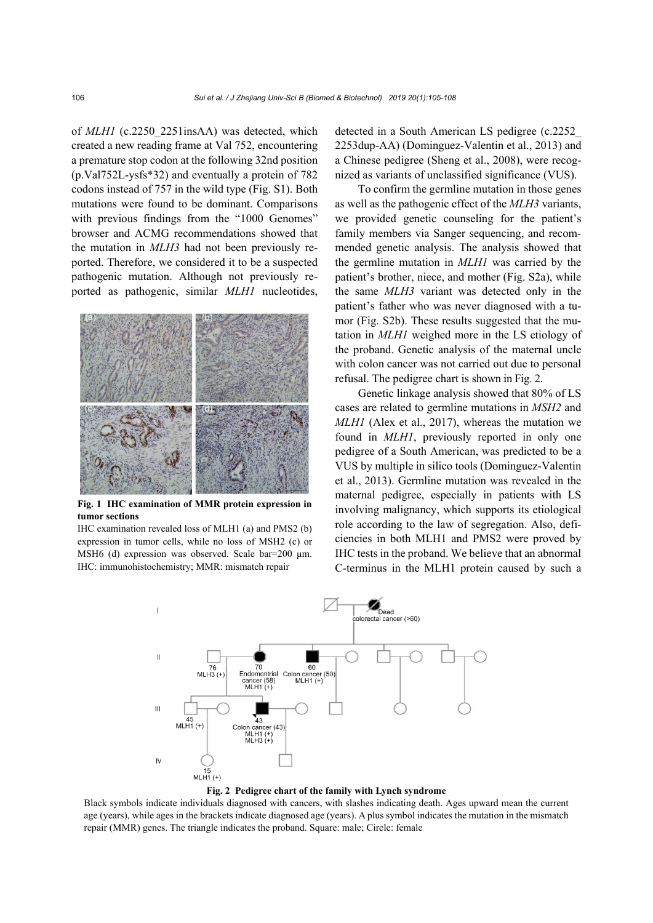of *MLH1* (c.2250\_2251insAA) was detected, which created a new reading frame at Val 752, encountering a premature stop codon at the following 32nd position (p.Val752L-ysfs\*32) and eventually a protein of 782 codons instead of 757 in the wild type (Fig. S1). Both mutations were found to be dominant. Comparisons with previous findings from the "1000 Genomes" browser and ACMG recommendations showed that the mutation in *MLH3* had not been previously reported. Therefore, we considered it to be a suspected pathogenic mutation. Although not previously reported as pathogenic, similar *MLH1* nucleotides,



**Fig. 1 IHC examination of MMR protein expression in tumor sections** 

IHC examination revealed loss of MLH1 (a) and PMS2 (b) expression in tumor cells, while no loss of MSH2 (c) or MSH6 (d) expression was observed. Scale bar=200 μm. IHC: immunohistochemistry; MMR: mismatch repair

detected in a South American LS pedigree (c.2252\_ 2253dup-AA) (Dominguez-Valentin et al., 2013) and a Chinese pedigree (Sheng et al., 2008), were recognized as variants of unclassified significance (VUS).

To confirm the germline mutation in those genes as well as the pathogenic effect of the *MLH3* variants, we provided genetic counseling for the patient's family members via Sanger sequencing, and recommended genetic analysis. The analysis showed that the germline mutation in *MLH1* was carried by the patient's brother, niece, and mother (Fig. S2a), while the same *MLH3* variant was detected only in the patient's father who was never diagnosed with a tumor (Fig. S2b). These results suggested that the mutation in *MLH1* weighed more in the LS etiology of the proband. Genetic analysis of the maternal uncle with colon cancer was not carried out due to personal refusal. The pedigree chart is shown in Fig. 2.

Genetic linkage analysis showed that 80% of LS cases are related to germline mutations in *MSH2* and *MLH1* (Alex et al., 2017), whereas the mutation we found in *MLH1*, previously reported in only one pedigree of a South American, was predicted to be a VUS by multiple in silico tools (Dominguez-Valentin et al., 2013). Germline mutation was revealed in the maternal pedigree, especially in patients with LS involving malignancy, which supports its etiological role according to the law of segregation. Also, deficiencies in both MLH1 and PMS2 were proved by IHC tests in the proband. We believe that an abnormal C-terminus in the MLH1 protein caused by such a



**Fig. 2 Pedigree chart of the family with Lynch syndrome** 

Black symbols indicate individuals diagnosed with cancers, with slashes indicating death. Ages upward mean the current age (years), while ages in the brackets indicate diagnosed age (years). A plus symbol indicates the mutation in the mismatch repair (MMR) genes. The triangle indicates the proband. Square: male; Circle: female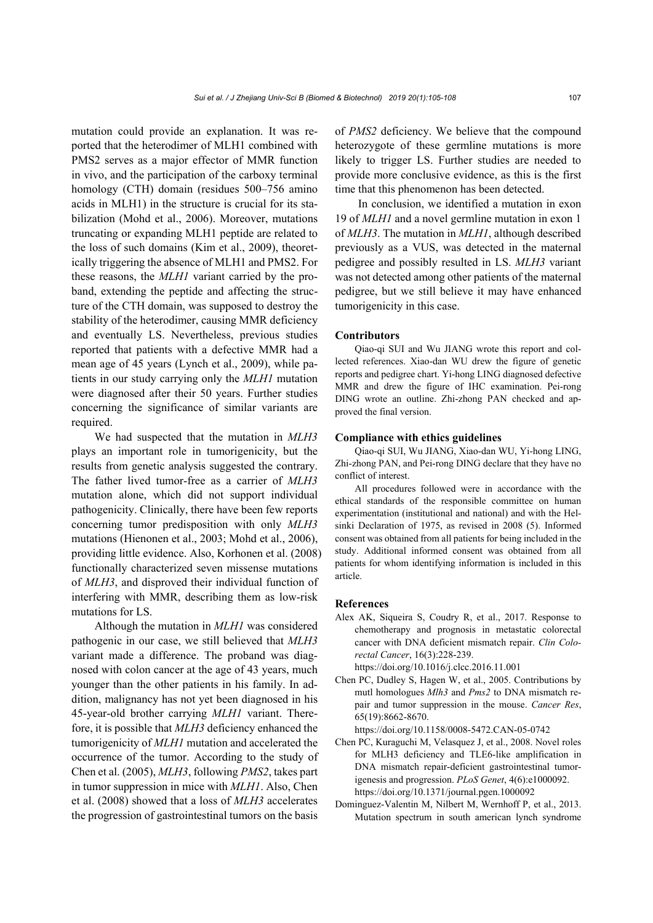mutation could provide an explanation. It was reported that the heterodimer of MLH1 combined with PMS2 serves as a major effector of MMR function in vivo, and the participation of the carboxy terminal homology (CTH) domain (residues 500–756 amino acids in MLH1) in the structure is crucial for its stabilization (Mohd et al., 2006). Moreover, mutations truncating or expanding MLH1 peptide are related to the loss of such domains (Kim et al., 2009), theoretically triggering the absence of MLH1 and PMS2. For these reasons, the *MLH1* variant carried by the proband, extending the peptide and affecting the structure of the CTH domain, was supposed to destroy the stability of the heterodimer, causing MMR deficiency and eventually LS. Nevertheless, previous studies reported that patients with a defective MMR had a mean age of 45 years (Lynch et al., 2009), while patients in our study carrying only the *MLH1* mutation were diagnosed after their 50 years. Further studies concerning the significance of similar variants are required.

We had suspected that the mutation in *MLH3* plays an important role in tumorigenicity, but the results from genetic analysis suggested the contrary. The father lived tumor-free as a carrier of *MLH3* mutation alone, which did not support individual pathogenicity. Clinically, there have been few reports concerning tumor predisposition with only *MLH3* mutations (Hienonen et al., 2003; Mohd et al., 2006), providing little evidence. Also, Korhonen et al. (2008) functionally characterized seven missense mutations of *MLH3*, and disproved their individual function of interfering with MMR, describing them as low-risk mutations for LS.

Although the mutation in *MLH1* was considered pathogenic in our case, we still believed that *MLH3* variant made a difference. The proband was diagnosed with colon cancer at the age of 43 years, much younger than the other patients in his family. In addition, malignancy has not yet been diagnosed in his 45-year-old brother carrying *MLH1* variant. Therefore, it is possible that *MLH3* deficiency enhanced the tumorigenicity of *MLH1* mutation and accelerated the occurrence of the tumor. According to the study of Chen et al. (2005), *MLH3*, following *PMS2*, takes part in tumor suppression in mice with *MLH1*. Also, Chen et al. (2008) showed that a loss of *MLH3* accelerates the progression of gastrointestinal tumors on the basis of *PMS2* deficiency. We believe that the compound heterozygote of these germline mutations is more likely to trigger LS. Further studies are needed to provide more conclusive evidence, as this is the first time that this phenomenon has been detected.

In conclusion, we identified a mutation in exon 19 of *MLH1* and a novel germline mutation in exon 1 of *MLH3*. The mutation in *MLH1*, although described previously as a VUS, was detected in the maternal pedigree and possibly resulted in LS. *MLH3* variant was not detected among other patients of the maternal pedigree, but we still believe it may have enhanced tumorigenicity in this case.

#### **Contributors**

Qiao-qi SUI and Wu JIANG wrote this report and collected references. Xiao-dan WU drew the figure of genetic reports and pedigree chart. Yi-hong LING diagnosed defective MMR and drew the figure of IHC examination. Pei-rong DING wrote an outline. Zhi-zhong PAN checked and approved the final version.

#### **Compliance with ethics guidelines**

Qiao-qi SUI, Wu JIANG, Xiao-dan WU, Yi-hong LING, Zhi-zhong PAN, and Pei-rong DING declare that they have no conflict of interest.

All procedures followed were in accordance with the ethical standards of the responsible committee on human experimentation (institutional and national) and with the Helsinki Declaration of 1975, as revised in 2008 (5). Informed consent was obtained from all patients for being included in the study. Additional informed consent was obtained from all patients for whom identifying information is included in this article.

#### **References**

Alex AK, Siqueira S, Coudry R, et al., 2017. Response to chemotherapy and prognosis in metastatic colorectal cancer with DNA deficient mismatch repair. *Clin Colorectal Cancer*, 16(3):228-239.

https://doi.org/10.1016/j.clcc.2016.11.001

Chen PC, Dudley S, Hagen W, et al., 2005. Contributions by mutl homologues *Mlh3* and *Pms2* to DNA mismatch repair and tumor suppression in the mouse. *Cancer Res*, 65(19):8662-8670.

https://doi.org/10.1158/0008-5472.CAN-05-0742

- Chen PC, Kuraguchi M, Velasquez J, et al., 2008. Novel roles for MLH3 deficiency and TLE6-like amplification in DNA mismatch repair-deficient gastrointestinal tumorigenesis and progression. *PLoS Genet*, 4(6):e1000092. https://doi.org/10.1371/journal.pgen.1000092
- Dominguez-Valentin M, Nilbert M, Wernhoff P, et al., 2013. Mutation spectrum in south american lynch syndrome